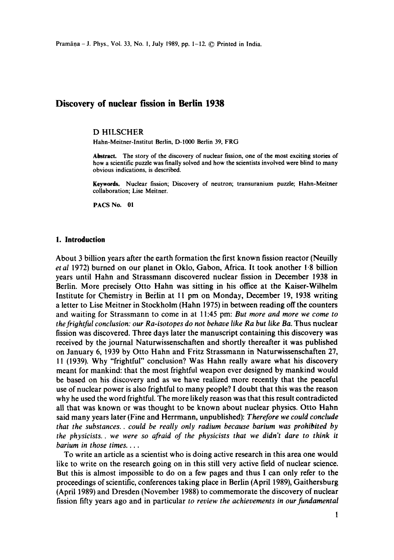# **Discovery of nuclear fission in Berlin 1938**

### D HILSCHER

Hahn-Meitner-Institut Berlin, D-1000 Berlin 39, FRG

Abstract. The story of the discovery of nuclear fission, one of the most exciting stories of how a scientific puzzle was finally solved and how the scientists involved were blind to many obvious indications, is described.

Keywords. Nuclear fission; Discovery of neutron; transuranium puzzle; Hahn-Meitner collaboration; Lise Meitner.

PACS No. 01

### **1. Introduction**

About 3 billion years after the earth formation the first known fission reactor (Neuilly *et al* 1972) burned on our planet in Oklo, Gabon, Africa. It took another 1.8 billion years until Hahn and Strassmann discovered nuclear fission in December 1938 in Berlin. More precisely Otto Hahn was sitting in his office at the Kaiser-Wilhelm Institute for Chemistry in Berlin at 11 pm on Monday, December 19, 1938 writing a letter to Lise Meitner in Stockholm (Hahn 1975) in between reading off the counters and waiting for Strassmann to come in at 11:45 pm: *But more and more we come to the frightful conclusion: our Ra-isotopes do not behave like Ra but like Ba. Thus nuclear* fission was discovered. Three days later the manuscript containing this discovery was received by the journal Naturwissenschaften and shortly thereafter it was published on January 6, 1939 by Otto Hahn and Fritz Strassmann in Naturwissenschaften 27, 11 (1939). Why "frightful" conclusion? Was Hahn really aware what his discovery meant for mankind: that the most frightful weapon ever designed by mankind would be based on his discovery and as we have realized more recently that the peaceful use of nuclear power is also frightful to many people? I doubt that this was the reason why he used the word frightful. The more likely reason was that this result contradicted all that was known or was thought to be known about nuclear physics. Otto Hahn said many years later (Fine and Herrmann, unpublished): *Therefore we could conclude that the substances., could be really only radium because barium was prohibited by the physicists., we were so afraid of the physicists that we didn't dare to think it barium in those times ....* 

To write an article as a scientist who is doing active research in this area one would like to write on the research going on in this still very active field of nuclear science. But this is almost impossible to do on a few pages and thus I can only refer to the proceedings of scientific, conferences taking place in Berlin (April 1989), Gaithersburg (April 1989) and Dresden (November 1988) to commemorate the discovery of nuclear fission fifty years ago and in particular *to review the achievements in our fundamental*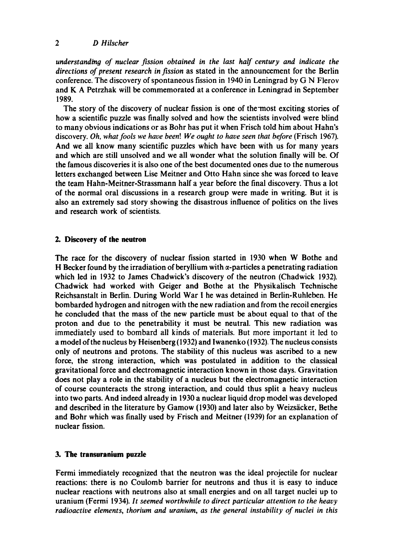*understanding of nuclear fission obtained in the last half century and indicate the directions of present research in fission* as stated in the announcement for the Berlin conference. The discovery of spontaneous fission in 1940 in Leningrad by G N Flerov and K A Petrzhak will be commemorated at a conference in Leningrad in September 1989.

The story of the discovery of nuclear fission is one of the-most exciting stories of how a scientific puzzle was finally solved and how the scientists involved were blind to many obvious indications or as Bohr has put it when Frisch told him about Hahn's discovery. *Oh, what fools we have been! We ought to have seen that before* (Frisch 1967). And we all know many scientific puzzles which have been with us for many years and which are still unsolved and we all wonder what the solution finally will be. Of the famous discoveries it is also one of the best documented ones due to the numerous letters exchanged between Lise Meitner and Otto Hahn since she was forced to leave the team Hahn-Meitner-Strassmann half a year before the final discovery. Thus a lot of the normal oral discussions in a research group were made in writing. But it is also an extremely sad story showing the disastrous influence of politics on the lives and research work of scientists.

## **2. Discovery of the neutron**

The race for the discovery of nuclear fission started in 1930 when W Bothe and H Becker found by the irradiation of beryllium with  $\alpha$ -particles a penetrating radiation which led in 1932 to James Chadwick's discovery of the neutron (Chadwick 1932). Chadwick had worked with Geiger and Bothe at the Physikalisch Technische Reichsanstalt in Berlin. During World War I he was detained in Berlin-Ruhleben. He bombarded hydrogen and nitrogen with the new radiation and from the recoil energies he concluded that the mass of the new particle must be about equal to that of the proton and due to the penetrability it must be neutral. This new radiation was immediately used to bombard all kinds of materials. But more important it led to a model of the nucleus by Heisenberg (1932) and Iwanenko (1932). The nucleus consists only of neutrons and protons. The stability of this nucleus was ascribed to a new force, the strong interaction, which was postulated in addition to the classical gravitational force and electromagnetic interaction known in those days. Gravitation does not play a role in the stability of a nucleus but the electromagnetic interaction of course counteracts the strong interaction, and could thus split a heavy nucleus into two parts. And indeed already in 1930 a nuclear liquid drop model was developed and described in the literature by Gamow (1930) and later also by Weizsäcker, Bethe and Bohr which was finally used by Frisch and Meitner (1939) for an explanation of nuclear fission.

## **3. The transuranium puzzle**

Fermi immediately recognized that the neutron was the ideal projectile for nuclear reactions: there is no Coulomb barrier for neutrons and thus it is easy to induce nuclear reactions with neutrons also at small energies and on all target nuclei up to uranium (Fermi 1934). *It seemed worthwhile to direct particular attention to the heavy radioactive elements, thorium and uranium, as the general instability of nuclei in this*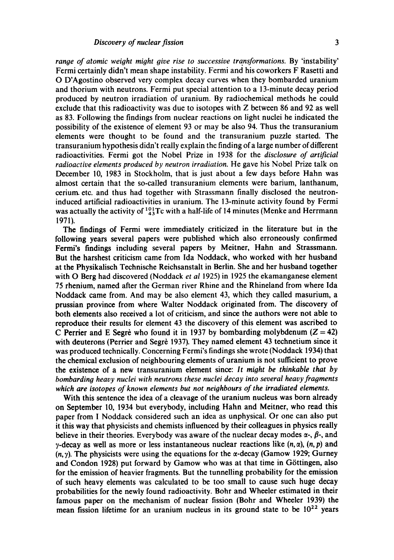range of atomic weight might give rise to successive transformations. By 'instability' Fermi certainly didn't mean shape instability. Fermi and his coworkers F Rasetti and O D'Agostino observed very complex decay curves when they bombarded uranium and thorium with neutrons. Fermi put special attention to a 13-minute decay period produced by neutron irradiation of uranium. By radiochemical methods he could exclude that this radioactivity was due to isotopes with Z between 86 and 92 as well as 83. Following the findings from nuclear reactions on light nuclei he indicated the possibility of the existence of element 93 or may be also 94. Thus the transuranium elements were thought to be found and the transuranium puzzle started. The transuranium hypothesis didn't really explain the finding of a large number of different radioactivities. Fermi got the Nobel Prize in I938 for the *disclosure of artificial radioactive elements produced by neutron irradiation*. He gave his Nobel Prize talk on December 10, 1983 in Stockholm, that is just about a few days before Hahn was almost certain that the so-called transuranium elements were barium, lanthanum, cerium etc. and thus had together with Strassmann finally disclosed the neutroninduced artificial radioactivities in uranium. The 13-minute activity found by Fermi was actually the activity of  $^{10}_{43}$ Tc with a half-life of 14 minutes (Menke and Herrmann 1971).

The findings of Fermi were immediately criticized in the literature but in the following years several papers were published which also erroneously confirmed Fermi's findings including several papers by Meitner, Hahn and Strassmann. But the harshest criticism came from Ida Noddack, who worked with her husband at the Physikalisch Technische Reichsanstait in Berlin. She and her husband together with O Berg had discovered (Noddack *et al* 1925) in 1925 the ekamanganese element 75 rhenium, named after the German river Rhine and the Rhineland from where Ida Noddack came from. And may be also element 43, which they called masurium, a prussian province from where Walter Noddack originated from. The discovery of both elements also received a lot of criticism, and since the authors were not able to reproduce their results for element 43 the discovery of this element was ascribed to C Perrier and E Segrè who found it in 1937 by bombarding molybdenum  $(Z = 42)$ with deuterons (Perrier and Segrè 1937). They named element 43 technetium since it was produced technically. Concerning Fermi's findings she wrote (Noddack 1934) that the chemical exclusion of neighbouring elements of uranium is not sufficient to prove the existence of a new transuranium element since: *It might be thinkable that by bombarding heavy nuclei with neutrons these nuclei decay into several heavy fragments which are isotopes of known elements but not neighbours of the irradiated elements.* 

With this sentence the idea of a cleavage of the uranium nucleus was born already on September 10, 1934 but everybody, including Hahn and Meitner, who read this paper from I Noddack considered such an idea as unphysical. Or one can also put it this way that physicists and chemists influenced by their colleagues in physics really believe in their theories. Everybody was aware of the nuclear decay modes  $\alpha$ -,  $\beta$ -, and  $\gamma$ -decay as well as more or less instantaneous nuclear reactions like  $(n, \alpha)$ ,  $(n, p)$  and  $(n, \gamma)$ . The physicists were using the equations for the  $\alpha$ -decay (Gamow 1929; Gurney and Condon 1928) put forward by Gamow who was at that time in Göttingen, also for the emission of heavier fragments. But the tunnelling probability for the emission of such heavy elements was calculated to be too small to cause such huge decay probabilities for the newly found radioactivity. Bohr and Wheeler estimated in their famous paper on the mechanism of nuclear fission (Bohr and Wheeler 1939) the mean fission lifetime for an uranium nucleus in its ground state to be  $10^{22}$  years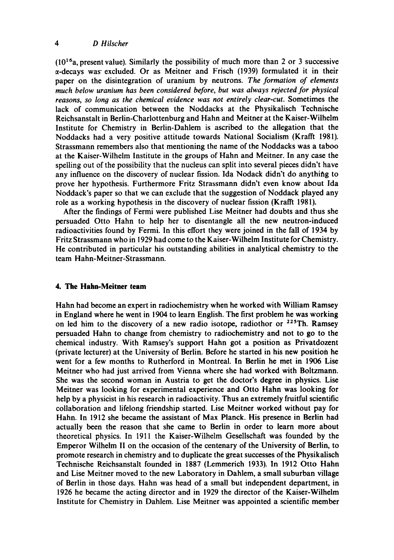### *4 D Hiischer*

 $(10^{16}a,$  present value). Similarly the possibility of much more than 2 or 3 successive  $\alpha$ -decays was excluded. Or as Meitner and Frisch (1939) formulated it in their paper on the disintegration of uranium by neutrons. *The formation of elements much below uranium has been considered before, but was always rejected for physical reasons, so long as the chemical evidence was not entirely clear-cut.* Sometimes the lack of communication between the Noddacks at the Physikalisch Technische Reichsanstalt in Berlin-Charlottenburg and Hahn and Meitner at the Kaiser-Wilhelm Institute for Chemistry in Berlin-Dahlem is ascribed to the allegation that the Noddacks had a very positive attitude towards National Socialism (Krafft 1981). Strassmann remembers also that mentioning the name of the Noddacks was a taboo at the Kaiser-Wilhelm Institute in the groups of Hahn and Meitner. In any case the spelling out of the possibility that the nucleus can split into several pieces didn't have any influence on the discovery of nuclear fission. Ida Nodack didn't do anything to prove her hypothesis. Furthermore Fritz Strassmann didn't even know about Ida Noddack's paper so that we can exclude that the suggestion of Noddack played any role as a working hypothesis in the discovery of nuclear fission (Krafft 1981).

After the findings of Fermi were published Lise Meitner had doubts and thus she persuaded Otto Hahn to help her to disentangle all the new neutron-induced radioactivities found by Fermi. In this effort they were joined in the fall of 1934 by Fritz Strassmann who in 1929 had come to the Kaiser-Wilhelm Institute for Chemistry. He contributed in particular his outstanding abilities in analytical chemistry to the team Hahn-Meitner-Strassmann.

# **4. The Hahn-Meitner team**

Hahn had become an expert in radiochemistry when he worked with William Ramsey in England where he went in 1904 to learn English. The first problem he was working on led him to the discovery of a new radio isotope, radiothor or  $225$ Th. Ramsey persuaded Hahn to change from chemistry to radiochemistry and not to go to the chemical industry. With Ramsey's support Hahn got a position as Privatdozent (private lecturer) at the University of Berlin. Before he started in his new position he went for a few months to Rutherford in Montreal. In Berlin he met in 1906 Lise Meitner who had just arrived from Vienna where she had worked with Boltzmann. She was the second woman in Austria to get the doctor's degree in physics. Lise Meitner was looking for experimental experience and Otto Hahn was looking for help by a physicist in his research in radioactivity. Thus an extremely fruitful scientific collaboration and lifelong friendship started. Lise Meitner worked without pay for Hahn. In 1912 she became the assistant of Max Planck. His presence in Berlin had actually been the reason that she came to Berlin in order to learn more about theoretical physics. In 1911 the Kaiser-Wilhelm Gesellschaft was founded by the Emperor Wilhelm II on the occasion of the centenary of the University of Berlin, to promote research in chemistry and to duplicate the great successes of the Physikalisch Technische Reichsanstalt founded in 1887 (Lemmerich 1933). In 1912 Otto Hahn and Lise Meitner moved to the new Laboratory in Dahlem, a small suburban village of Berlin in those days. Hahn was head of a small but independent department, in 1926 he became the acting director and in 1929 the director of the Kaiser-Wilhelm Institute for Chemistry in Dahlem. Lise Meitner was appointed a scientific member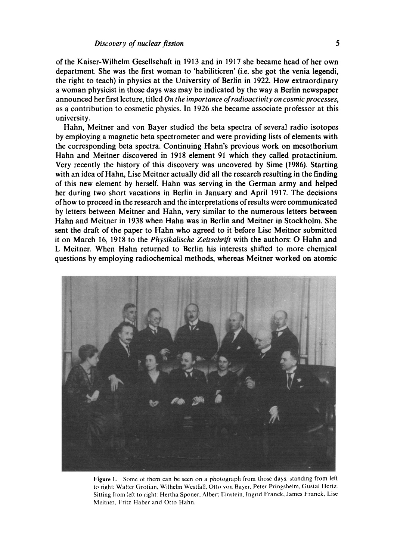of the Kaiser-Wilhelm Gesellschaft in 1913 and in 1917 she became head of her own department. She was the first woman to 'habilitieren' (i.e. she got the venia legendi, the right to teach) in physics at the University of Berlin in 1922. How extraordinary a woman physicist in those days was may be indicated by the way a Berlin newspaper announced her first lecture, titled *On the importance of radioactivity on cosmic processes,*  as a contribution to cosmetic physics. In 1926 she became associate professor at this university.

Hahn, Meitner and von Bayer studied the beta spectra of several radio isotopes by employing a magnetic beta spectrometer and were providing lists of elements with the corresponding beta spectra. Continuing Hahn's previous work on mesothorium Hahn and Meitner discovered in 1918 element 91 which they called protactinium. Very recently the history of this discovery was uncovered by Sime (1986). Starting with an idea of Hahn, Lise Meitner actually did all the research resulting in the finding of this new element by herself. Hahn was serving in the German army and helped her during two short vacations in Berlin in January and April 1917. The decisions of how to proceed in the research and the interpretations of results were communicated by letters between Meitner and Hahn, very similar to the numerous letters between Hahn and Meitner in 1938 when Hahn was in Berlin and Meitner in Stockholm. She sent the draft of the paper to Hahn who agreed to it before Lise Meitner submitted it on March 16, 1918 to the *Physikalische Zeitschrift* with the authors: O Hahn and L Meitner. When Hahn returned to Berlin his interests shifted to more chemical questions by employing radiochemical methods, whereas Meitner worked on atomic



Figure I. Some of them can be seen on a photograph from those days: standing from left to right: Walter Grotian, Wilhelm Westfalt, Otto yon Bayer, Peter Pringsheim, Gustaf Hertz. Sitting from left to right: Hertha Sponer, Albert Einstein, lngrid Franck, James Franck, Lise Mcitner, Fritz Haber and Otto Hahn.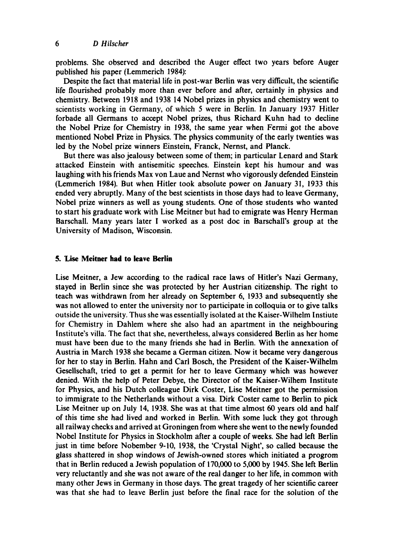problems. She observed and described the Auger effect two years before Auger published his paper (Lemmerich 1984):

Despite the fact that material life in post-war Berlin was very difficult, the scientific life flourished probably more than ever before and after, certainly in physics and chemistry. Between 1918 and 1938 14 Nobel prizes in physics and chemistry went to scientists working in Germany, of which 5 were in Berlin. In January 1937 Hitler forbade all Germans to accept Nobel prizes, thus Richard Kuhn had to decline the Nobel Prize for Chemistry in 1938, the same year when Fermi got the above mentioned Nobel Prize in Physics. The physics community of the early twenties was led by the Nobel prize winners Einstein, Franck, Nernst, and Planck.

But there was also jealousy between some of them; in particular Lenard and Stark attacked Einstein with antisemitic speeches. Einstein kept his humour and was laughing with his friends Max yon Laue and Nernst who vigorously defended Einstein (Lemmerich 1984). But when Hitler took absolute power on January 31, 1933 this ended very abruptly. Many of the best scientists in those days had to leave Germany, Nobel prize winners as well as young students. One of those students who wanted to start his graduate work with Lise Meitner but had to emigrate was Henry Herman Barschall. Many years later I worked as a post doc in Barschall's group at the University of Madison, Wisconsin.

# **5. Lise Meitner had to leave Berlin**

Lise Meitner, a Jew according to the radical race laws of Hitler's Nazi Germany, stayed in Berlin since she was protected by her Austrian citizenship. The right to teach was withdrawn from her already on September 6, 1933 and subsequently she was not allowed to enter the university nor to participate in colloquia or to give talks outside the university. Thus she was essentially isolated at the Kaiser-Wilhelm Instiute for Chemistry in Dahlem where she also had an apartment in the neighbouring Institute's villa. The fact that she, nevertheless, always considered Berlin as her home must have been due to the many friends she had in Berlin. With the annexation of Austria in March 1938 she became a German citizen. Now it became very dangerous for her to stay in Berlin. Hahn and Carl Bosch, the President of the Kaiser-Wilhelm Geseiischaft, tried to get a permit for her to leave Germany which was however denied. With the help of Peter Debye, the Director of the Kaiser-Wilhem Institute for Physics, and his Dutch colleague Dirk Coster, Lise Meitner got the permission to immigrate to the Netherlands without a visa. Dirk Coster came to Berlin to pick Lise Meitner up on July 14, 1938. She was at that time almost 60 years old and half of this time she had lived and worked in Berlin. With some luck they got through all railway checks and arrived at Groningen from where she went to the newly founded Nobel Institute for Physics in Stockholm after a couple of weeks. She had left Berlin just in time before Nobember 9-10, 1938, the 'Crystal Night', so called because the glass shattered in shop windows of Jewish-owned stores which initiated a progrom that in Berlin reduced a Jewish population of 170,000 to 5,000 by 1945. She left Berlin very reluctantly and she was not aware of the real danger to her life, in common with many other Jews in Germany in those days. The great tragedy of her scientific career was that she had to leave Berlin just before the final race for the solution of the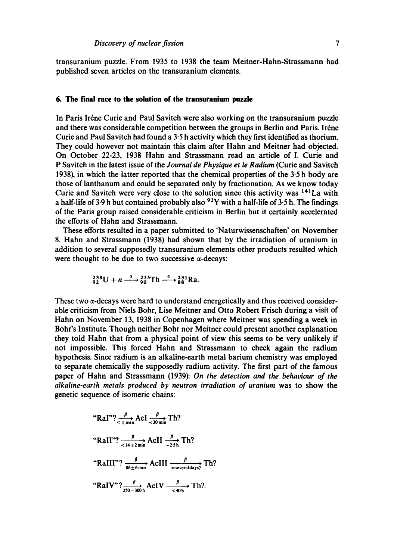transuranium puzzle. From 1935 to 1938 the team Meitner-Hahn-Strassmann had published seven articles on the transuranium elements.

### **6. The final race to the solution of the transuranium puzzle**

In Paris Irène Curie and Paul Savitch were also working on the transuranium puzzle and there was considerable competition between the groups in Berlin and Paris. Irène Curie and Paul Savitch had found a 3.5 h activity which they first identified as thorium. They could however not maintain this claim after Hahn and Meitner had objected. On October 22-23, 1938 Hahn and Strassmann read an article of I. Curie and P Savitch in the latest issue of the *Journal de Physique et le Radium* (Curie and Savitch 1938), in which the latter reported that the chemical properties of the 3"5 h body are those of lanthanum and could be separated only by fractionation. As we know today Curie and Savitch were very close to the solution since this activity was 141La with a half-life of 3.9 h but contained probably also  $92Y$  with a half-life of 3.5 h. The findings of the Paris group raised considerable criticism in Berlin but it certainly accelerated the efforts of Hahn and Strassmann.

These efforts resulted in a paper submitted to 'Naturwissenschaften' on November 8. Hahn and Strassmann (1938) had shown that by the irradiation of uranium in addition to several supposedly transuranium elements other products resulted which were thought to be due to two successive  $\alpha$ -decays:

$$
{}_{92}^{238}\text{U} + n \xrightarrow{a} {}_{90}^{235}\text{Th} \xrightarrow{a} {}_{88}^{231}\text{Ra}
$$

These two a-decays were hard to understand energetically and thus received considerable criticism from Niels Bohr, Lise Meitner and Otto Robert Frisch during a visit of Hahn on November 13, 1938 in Copenhagen where Meitner was spending a week in Bohr's Institute. Though neither Bohr nor Meitner could present another explanation they told Hahn that from a physical point of view this seems to be very unlikely if not impossible. This forced Hahn and Strassmann to check again the radium hypothesis. Since radium is an alkaline-earth metal barium chemistry was employed to separate chemically the supposedly radium activity. The first part of the famous paper of Hahn and Strassmann (1939): *On the detection and the behaviour of the alkaline-earth metals produced by neutron irradiation of uranium* was to show the genetic sequence of isomeric chains:

"Ral"? 
$$
\frac{\beta}{\langle 1 \text{ min}} \text{Acl } \frac{\beta}{\langle 30 \text{ min}} \text{ Th?}
$$
  
\n"Rall"?  $\frac{\beta}{\langle 14 \pm 2 \text{ min}} \text{AclI } \frac{\beta}{\langle 25 \text{ h} \rangle} \text{ Th?}$   
\n"RallI"?  $\frac{\beta}{86 \pm 6 \text{ min}} \text{AclII } \frac{\beta}{\langle 25 \text{ m} \rangle} \text{ Th?}$   
\n"RalV"?  $\frac{\beta}{250-300 \text{ h}} \text{AclV } \frac{\beta}{\langle 40 \text{ h} \rangle} \text{ Th?}$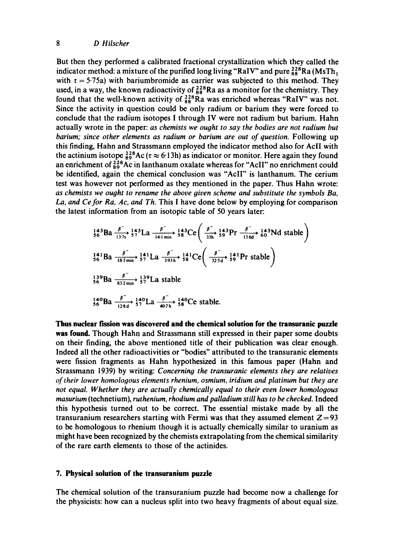### *8 D Hilscher*

But then they performed a calibrated fractional crystallization which they called the indicator method: a mixture of the purified long living "RaIV" and pure  $^{228}_{88}$ Ra (MsTh<sub>1</sub>) with  $\tau = 5.75a$ ) with bariumbromide as carrier was subjected to this method. They used, in a way, the known radioactivity of  $^{228}_{88}$ Ra as a monitor for the chemistry. They found that the well-known activity of  $^{228}_{88}$ Ra was enriched whereas "RaIV" was not. Since the activity in question could be only radium or barium they were forced to conclude that the radium isotopes I through IV were not radium but barium. Hahn actually wrote in the paper: *as chemists we ought to say the bodies are not radium but barium; since other elements as radium or barium are out of question.* Following up this finding, Hahn and Strassmann employed the indicator method also for AclI with the actinium isotope  $\frac{228}{99}$ Ac ( $\tau \approx 6.13$ h) as indicator or monitor. Here again they found an enrichment of  $^{228}_{89}$ Ac in lanthanum oxalate whereas for "AcII" no enrichment could be identified, again the chemical conclusion was "AclI" is lanthanum. The cerium test was however not performed as they mentioned in the paper. Thus Hahn wrote: *as chemists we ought to rename the above given scheme and substitute the symbols Ba, La, and Cefor Ra, Ac, and Th.* This I have done below by employing for comparison the latest information from an isotopic table of 50 years later:

$$
\frac{143}{56}Ba \xrightarrow[137s]{\beta} \frac{143}{57}La \xrightarrow[141 min]{\beta} \frac{143}{58}Ce\left(\frac{\beta}{33h} + \frac{143}{59}Pr \xrightarrow[136d]{\beta} \frac{143}{60}Nd \text{ stable}\right)
$$
  

$$
\frac{141}{56}Ba \xrightarrow[182 min]{\beta} \frac{141}{182 min} \frac{141}{57}La \xrightarrow[393h]{\beta} \frac{141}{58}Ce\left(\frac{\beta}{325d} + \frac{141}{59}Pr \text{ stable}\right)
$$
  

$$
\frac{139}{56}Ba \xrightarrow[832 min]{\beta} \frac{140}{57}La \text{ stable}
$$
  

$$
\frac{140}{56}Ba \xrightarrow[128d]{\beta} \frac{140}{57}La \xrightarrow[402h]{\beta} \frac{140}{58}Ce \text{ stable.}
$$

**Thus nuclear fission was discovered and the chemical solution for the transuranic puzzle was found.** Though Hahn and Strassmann still expressed in their paper some doubts on their finding, the above mentioned title of their publication was clear enough. Indeed all the other radioactivities or "bodies" attributed to the transuranic elements were fission fragments as Hahn hypothesized in this famous paper (Hahn and Strassmann 1939) by writing: *Concerning the transuranic elements they are relatives of their lower homologous elements rhenium, osmium, iridium and platinum but they are not equal. Whether they are actually chemically equal to their even lower homologous masurium* (technetium), *ruthenium, rhodium and palladium still has to be checked.* Indeed this hypothesis turned out to be correct. The essential mistake made by all the transuranium researchers starting with Fermi was that they assumed element  $Z = 93$ to be homologous to rhenium though it is actually chemically similar to uranium as might have been recognized by the chemists extrapolating from the chemical similarity of the rare earth elements to those of the actinides.

#### **7. Physical solution of the transuranium puzzle**

The chemical solution of the transuranium puzzle had become now a challenge for the physicists: how can a nucleus split into two heavy fragments of about equal size.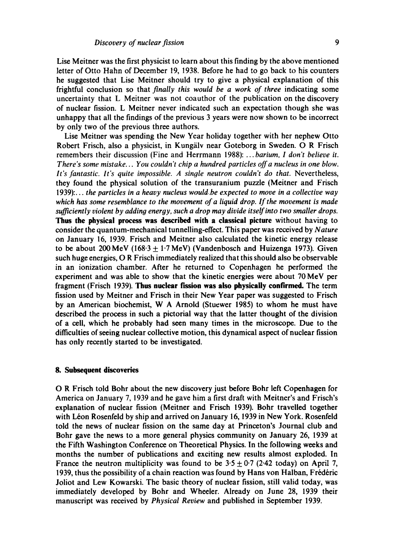Lise Meitner was the first physicist to learn about this finding by the above mentioned letter of Otto Hahn of December 19, 1938. Before he had to go back to his counters he suggested that Lise Meitner should try to give a physical explanation of this frightful conclusion so that *finally this would be a work of three* indicating some uncertainty that L Meitner was not coauthor of the publication on the discovery of nuclear fission. L Meitner never indicated such an expectation though she was unhappy that all the findings of the previous 3 years were now shown to be incorrect by only two of the previous three authors.

Lise Meitner was spending the New Year holiday together with her nephew Otto Robert Frisch, also a physicist, in Kungälv near Goteborg in Sweden. O R Frisch remembers their discussion (Fine and Herrmann 1988): ... *barium, I don't believe it. There's some mistake... You couldn't chip a hundred particles off a nucleus in one blow.*  It's fantastic. It's quite impossible. A single neutron couldn't do that. Nevertheless, they found the physical solution of the transuranium puzzle (Meitner and Frisch 1939):... *the particles in a heavy nucleus wouldbe expected to move in a collective way which has some resemblance to the movement of a liquid drop. If the movement is made sufficiently violent by adding energy, such a drop may divide itself into two smaller drops.*  **Thus the physical process was described with** a classical picture without having to consider the quantum-mechanical tunnelling-effect. This paper was received by *Nature*  on January 16, 1939. Frisch and Meitner also calculated the kinetic energy release to be about 200 MeV (168.3  $\pm$  1.7 MeV) (Vandenbosch and Huizenga 1973). Given such huge energies, O R Frisch immediately realized that this should also be observable in an ionization chamber. After he returned to Copenhagen he performed the experiment and was able to show that the kinetic energies were about 70 MeV per fragment (Frisch 1939). **Thus nuclear fission was also physically** confirmed. The term fission used by Meitner and Frisch in their New Year paper was suggested to Frisch by an American biochemist, W A Arnold (Stuewer 1985) to whom he must have described the process in such a pictorial way that the latter thought of the division of a cell, which he probably had seen many times in the microscope. Due to the difficulties of seeing nuclear collective motion, this dynamical aspect of nuclear fission has only recently started to be investigated.

#### **8. Subsequent discoveries**

O R Frisch told Bohr about the new discovery just before Bohr left Copenhagen for America on January 7, 1939 and he gave him a first draft with Meitner's and Frisch's explanation of nuclear fission (Meitner and Frisch 1939). Bohr travelled together with Léon Rosenfeld by ship and arrived on January 16, 1939 in New York. Rosenfeld told the news of nuclear fission on the same day at Princeton's Journal club and Bohr gave the news to a more general physics community on January 26, 1939 at the Fifth Washington Conference on Theoretical Physics. In the following weeks and months the number of publications and exciting new results almost exploded. In France the neutron multiplicity was found to be  $3.5 \pm 0.7$  (2.42 today) on April 7, 1939, thus the possibility of a chain reaction was found by Hans von Halban, Frédéric Joliot and Lew Kowarski. The basic theory of nuclear fission, still valid today, was immediately developed by Bohr and Wheeler. Already on June 28, 1939 their manuscript was received by *Physical Review* and published in September 1939.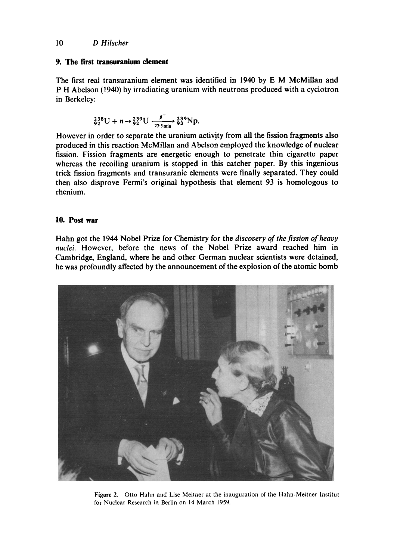## **9. The first transuranium element**

The first real transuranium element was identified in 1940 by E M McMillan and P H Abelson (1940) by irradiating uranium with neutrons produced with a cyclotron in Berkeley:

$$
^{238}_{92}\text{U} + n \rightarrow ^{239}_{92}\text{U} \xrightarrow[235 \text{min}]{ \beta^{-}} ^{239}_{93}\text{Np}.
$$

However in order to separate the uranium activity from all the fission fragments also produced in this reaction McMillan and Abelson employed the knowledge of nuclear fission. Fission fragments are energetic enough to penetrate thin cigarette paper whereas the recoiling uranium is stopped in this catcher paper. By this ingenious trick fission fragments and transuranic elements were finally separated. They could then also disprove Fermi's original hypothesis that element 93 is homologous to rhenium.

# **10. Post war**

Hahn got the 1944 Nobel Prize for Chemistry for the *discovery of the fission of heavy nuclei.* However, before the news of the Nobel Prize award reached him in Cambridge, England, where he and other German nuclear scientists were detained, he was profoundly affected by the announcement of the explosion of the atomic bomb



Figure 2. Otto Hahn and Lise Meitner at the inauguration of the Hahn-Meitner Institut for Nuclear Research in Berlin on 14 March 1959.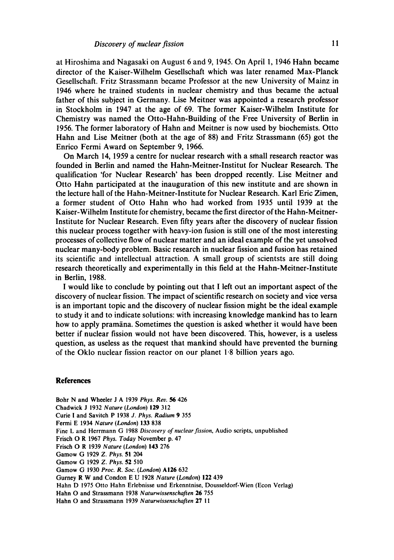at Hiroshima and Nagasaki on August 6 and 9, 1945. On April 1, 1946 Hahn became director of the Kaiser-Wilhelm Gesellschaft which was later renamed Max-Planck Gesellschaft. Fritz Strassmann became Professor at the new University of Mainz in 1946 where he trained students in nuclear chemistry and thus became the actual father of this subject in Germany. Lise Meitner was appointed a research professor in Stockholm in 1947 at the age of 69. The former Kaiser-Wilhelm Institute for Chemistry was named the Otto-Hahn-Building of the Free University of Berlin in 1956. The former laboratory of Hahn and Meitner is now used by biochemists. Otto Hahn and Lise Meitner (both at the age of 88) and Fritz Strassmann (65) got the Enrico Fermi Award on September 9, 1966.

On March 14, 1959 a centre for nuclear research with a small research reactor was founded in Berlin and named the Hahn-Meitner-Institut for Nuclear Research. The qualification 'for Nuclear Research' has been dropped recently. Lise Meitner and Otto Hahn participated at the inauguration of this new institute and are shown in the lecture hall of the Hahn-Meitner-Institute for Nuclear Research. Karl Eric Zimen, a former student of Otto Hahn who had worked from 1935 until 1939 at the Kaiser-Wilhelm Institute for chemistry, became the first director of the Hahn-Meitner-Institute for Nuclear Research. Even fifty years after the discovery of nuclear fission this nuclear process together with heavy-ion fusion is still one of the most interesting processes of collective flow of nuclear matter and an ideal example of the yet unsolved nuclear many-body problem. Basic research in nuclear fission and fusion has retained its scientific and intellectual attraction. A small group of scientsts are still doing research theoretically and experimentally in this field at the Hahn-Meitner-Institute in Berlin, 1988.

I would like to conclude by pointing out that I left out an important aspect of the discovery of nuclear fission. The impact of scientific research on society and vice versa is an important topic and the discovery of nuclear fission might be the ideal example to study it and to indicate solutions: with increasing knowledge mankind has to learn how to apply pramana. Sometimes the question is asked whether it would have been better if nuclear fission would not have been discovered. This, however, is a useless question, as useless as the request that mankind should have prevented the burning of the Oklo nuclear fission reactor on our planet 1.8 billion years ago.

#### **References**

Bohr N and Wheeler J A 1939 *Phys. Rev. 56* 426 Chadwick J 1932 *Nature (London)* 129 312 Curie I and Savitch P 1938 *J. Phys. Radium* 9 355 Fermi E 1934 *Nature (London)* 133 838 Fine L and Herrmann G 1988 *Discovery of nuclear fission,* Audio scripts, unpublished Frisch O R 1967 *Phys. Today* November p. 47 Frisch O R 1939 *Nature (London)* **143** 276 Gamow G 1929 *Z. Phys.* 51 204 Gamow G 1929 *Z. Phys.* 52 510 Gamow G 1930 *Proc. R. Soc. (London)* A126 632 Gurney R W and Condon E U 1928 *Nature (London)* 122 439 Hahn D 1975 Otto Hahn Erlebnisse und Erkenntnise, Dousseldorf-Wien (Econ Verlag) Hahn O and Strassmann 1938 *Naturwissenschaften* 26 755 Hahn O and Strassmann 1939 *Naturwissenschaften* 27 I 1